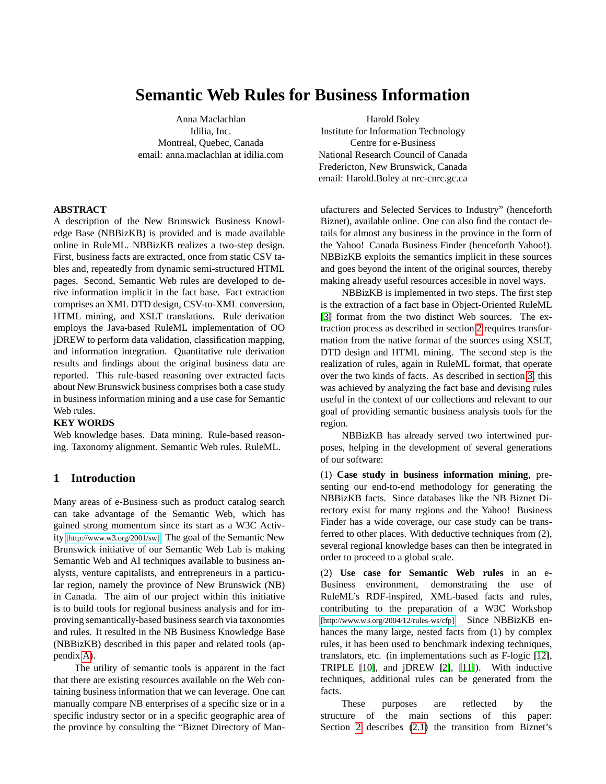# **Semantic Web Rules for Business Information**

Anna Maclachlan Idilia, Inc. Montreal, Quebec, Canada email: anna.maclachlan at idilia.com

#### **ABSTRACT**

A description of the New Brunswick Business Knowledge Base (NBBizKB) is provided and is made available online in RuleML. NBBizKB realizes a two-step design. First, business facts are extracted, once from static CSV tables and, repeatedly from dynamic semi-structured HTML pages. Second, Semantic Web rules are developed to derive information implicit in the fact base. Fact extraction comprises an XML DTD design, CSV-to-XML conversion, HTML mining, and XSLT translations. Rule derivation employs the Java-based RuleML implementation of OO jDREW to perform data validation, classification mapping, and information integration. Quantitative rule derivation results and findings about the original business data are reported. This rule-based reasoning over extracted facts about New Brunswick business comprises both a case study in business information mining and a use case for Semantic Web rules.

#### **KEY WORDS**

Web knowledge bases. Data mining. Rule-based reasoning. Taxonomy alignment. Semantic Web rules. RuleML.

#### **1 Introduction**

Many areas of e-Business such as product catalog search can take advantage of the Semantic Web, which has gained strong momentum since its start as a W3C Activity [\[http://www.w3.org/2001/sw\]](http://www.w3.org/2001/sw). The goal of the Semantic New Brunswick initiative of our Semantic Web Lab is making Semantic Web and AI techniques available to business analysts, venture capitalists, and entrepreneurs in a particular region, namely the province of New Brunswick (NB) in Canada. The aim of our project within this initiative is to build tools for regional business analysis and for improving semantically-based business search via taxonomies and rules. It resulted in the NB Business Knowledge Base (NBBizKB) described in this paper and related tools (appendix [A\)](#page-7-0).

The utility of semantic tools is apparent in the fact that there are existing resources available on the Web containing business information that we can leverage. One can manually compare NB enterprises of a specific size or in a specific industry sector or in a specific geographic area of the province by consulting the "Biznet Directory of Man-

Harold Boley Institute for Information Technology Centre for e-Business National Research Council of Canada Fredericton, New Brunswick, Canada email: Harold.Boley at nrc-cnrc.gc.ca

ufacturers and Selected Services to Industry" (henceforth Biznet), available online. One can also find the contact details for almost any business in the province in the form of the Yahoo! Canada Business Finder (henceforth Yahoo!). NBBizKB exploits the semantics implicit in these sources and goes beyond the intent of the original sources, thereby making already useful resources accesible in novel ways.

NBBizKB is implemented in two steps. The first step is the extraction of a fact base in Object-Oriented RuleML [\[3\]](#page-7-1) format from the two distinct Web sources. The extraction process as described in section [2](#page-1-0) requires transformation from the native format of the sources using XSLT, DTD design and HTML mining. The second step is the realization of rules, again in RuleML format, that operate over the two kinds of facts. As described in section [3,](#page-3-0) this was achieved by analyzing the fact base and devising rules useful in the context of our collections and relevant to our goal of providing semantic business analysis tools for the region.

NBBizKB has already served two intertwined purposes, helping in the development of several generations of our software:

(1) **Case study in business information mining**, presenting our end-to-end methodology for generating the NBBizKB facts. Since databases like the NB Biznet Directory exist for many regions and the Yahoo! Business Finder has a wide coverage, our case study can be transferred to other places. With deductive techniques from (2), several regional knowledge bases can then be integrated in order to proceed to a global scale.

(2) **Use case for Semantic Web rules** in an e-Business environment, demonstrating the use of RuleML's RDF-inspired, XML-based facts and rules, contributing to the preparation of a W3C Workshop [\[http://www.w3.org/2004/12/rules-ws/cfp\]](http://www.w3.org/2004/12/rules-ws/cfp). Since NBBizKB enhances the many large, nested facts from (1) by complex rules, it has been used to benchmark indexing techniques, translators, etc. (in implementations such as F-logic [\[12\]](#page-7-2), TRIPLE [\[10\]](#page-7-3), and jDREW [\[2\]](#page-7-4), [\[11\]](#page-7-5)). With inductive techniques, additional rules can be generated from the facts.

These purposes are reflected by the structure of the main sections of this paper: Section [2](#page-1-0) describes [\(2.1\)](#page-1-1) the transition from Biznet's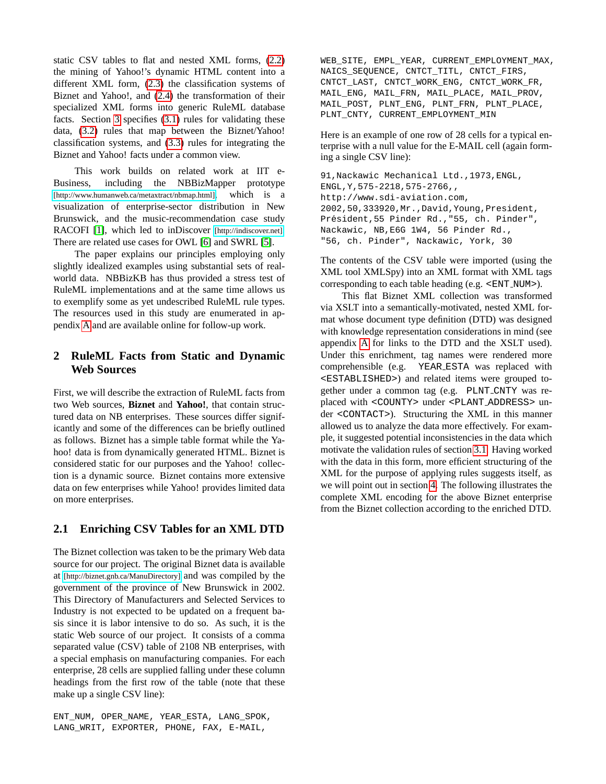static CSV tables to flat and nested XML forms, [\(2.2\)](#page-2-0) the mining of Yahoo!'s dynamic HTML content into a different XML form, [\(2.3\)](#page-3-1) the classification systems of Biznet and Yahoo!, and [\(2.4\)](#page-3-2) the transformation of their specialized XML forms into generic RuleML database facts. Section [3](#page-3-0) specifies [\(3.1\)](#page-3-3) rules for validating these data, [\(3.2\)](#page-4-0) rules that map between the Biznet/Yahoo! classification systems, and [\(3.3\)](#page-5-0) rules for integrating the Biznet and Yahoo! facts under a common view.

This work builds on related work at IIT e-Business, including the NBBizMapper prototype [\[http://www.humanweb.ca/metaxtract/nbmap.html\]](http://www.humanweb.ca/metaxtract/nbmap.html), which is a visualization of enterprise-sector distribution in New Brunswick, and the music-recommendation case study RACOFI [\[1\]](#page-7-6), which led to inDiscover [\[http://indiscover.net\]](http://indiscover.net). There are related use cases for OWL [\[6\]](#page-7-7) and SWRL [\[5\]](#page-7-8).

The paper explains our principles employing only slightly idealized examples using substantial sets of realworld data. NBBizKB has thus provided a stress test of RuleML implementations and at the same time allows us to exemplify some as yet undescribed RuleML rule types. The resources used in this study are enumerated in appendix [A](#page-7-0) and are available online for follow-up work.

# <span id="page-1-0"></span>**2 RuleML Facts from Static and Dynamic Web Sources**

First, we will describe the extraction of RuleML facts from two Web sources, **Biznet** and **Yahoo!**, that contain structured data on NB enterprises. These sources differ significantly and some of the differences can be briefly outlined as follows. Biznet has a simple table format while the Yahoo! data is from dynamically generated HTML. Biznet is considered static for our purposes and the Yahoo! collection is a dynamic source. Biznet contains more extensive data on few enterprises while Yahoo! provides limited data on more enterprises.

#### <span id="page-1-1"></span>**2.1 Enriching CSV Tables for an XML DTD**

The Biznet collection was taken to be the primary Web data source for our project. The original Biznet data is available at [\[http://biznet.gnb.ca/ManuDirectory\]](http://biznet.gnb.ca/ManuDirectory) and was compiled by the government of the province of New Brunswick in 2002. This Directory of Manufacturers and Selected Services to Industry is not expected to be updated on a frequent basis since it is labor intensive to do so. As such, it is the static Web source of our project. It consists of a comma separated value (CSV) table of 2108 NB enterprises, with a special emphasis on manufacturing companies. For each enterprise, 28 cells are supplied falling under these column headings from the first row of the table (note that these make up a single CSV line):

ENT\_NUM, OPER\_NAME, YEAR\_ESTA, LANG\_SPOK, LANG\_WRIT, EXPORTER, PHONE, FAX, E-MAIL,

WEB\_SITE, EMPL\_YEAR, CURRENT\_EMPLOYMENT\_MAX, NAICS\_SEQUENCE, CNTCT\_TITL, CNTCT\_FIRS, CNTCT\_LAST, CNTCT\_WORK\_ENG, CNTCT\_WORK\_FR, MAIL\_ENG, MAIL\_FRN, MAIL\_PLACE, MAIL\_PROV, MAIL\_POST, PLNT\_ENG, PLNT\_FRN, PLNT\_PLACE, PLNT\_CNTY, CURRENT\_EMPLOYMENT\_MIN

Here is an example of one row of 28 cells for a typical enterprise with a null value for the E-MAIL cell (again forming a single CSV line):

```
91,Nackawic Mechanical Ltd.,1973,ENGL,
ENGL,Y,575-2218,575-2766,,
http://www.sdi-aviation.com,
2002,50,333920,Mr.,David,Young,President,
Président, 55 Pinder Rd., "55, ch. Pinder",
Nackawic, NB,E6G 1W4, 56 Pinder Rd.,
"56, ch. Pinder", Nackawic, York, 30
```
The contents of the CSV table were imported (using the XML tool XMLSpy) into an XML format with XML tags corresponding to each table heading (e.g. <ENT NUM>).

This flat Biznet XML collection was transformed via XSLT into a semantically-motivated, nested XML format whose document type definition (DTD) was designed with knowledge representation considerations in mind (see appendix [A](#page-7-0) for links to the DTD and the XSLT used). Under this enrichment, tag names were rendered more comprehensible (e.g. YEAR ESTA was replaced with <ESTABLISHED>) and related items were grouped together under a common tag (e.g. PLNT CNTY was replaced with <COUNTY> under <PLANT ADDRESS> under <CONTACT>). Structuring the XML in this manner allowed us to analyze the data more effectively. For example, it suggested potential inconsistencies in the data which motivate the validation rules of section [3.1.](#page-3-3) Having worked with the data in this form, more efficient structuring of the XML for the purpose of applying rules suggests itself, as we will point out in section [4.](#page-6-0) The following illustrates the complete XML encoding for the above Biznet enterprise from the Biznet collection according to the enriched DTD.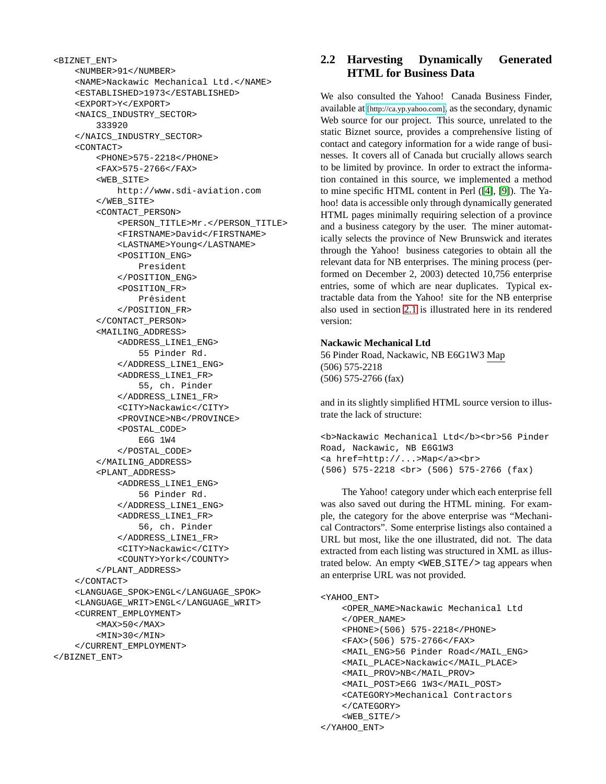```
<BIZNET_ENT>
    <NUMBER>91</NUMBER>
    <NAME>Nackawic Mechanical Ltd.</NAME>
    <ESTABLISHED>1973</ESTABLISHED>
    <EXPORT>Y</EXPORT>
    <NAICS_INDUSTRY_SECTOR>
        333920
    </NAICS_INDUSTRY_SECTOR>
    <CONTACT>
        <PHONE>575-2218</PHONE>
        <FAX>575-2766</FAX>
        <WEB_SITE>
            http://www.sdi-aviation.com
        </WEB_SITE>
        <CONTACT_PERSON>
            <PERSON_TITLE>Mr.</PERSON_TITLE>
            <FIRSTNAME>David</FIRSTNAME>
            <LASTNAME>Young</LASTNAME>
            <POSITION_ENG>
                President
            </POSITION_ENG>
            <POSITION_FR>
                Président
            </POSITION_FR>
        </CONTACT_PERSON>
        <MAILING_ADDRESS>
            <ADDRESS_LINE1_ENG>
                55 Pinder Rd.
            </ADDRESS_LINE1_ENG>
            <ADDRESS_LINE1_FR>
                55, ch. Pinder
            </ADDRESS_LINE1_FR>
            <CITY>Nackawic</CITY>
            <PROVINCE>NB</PROVINCE>
            <POSTAL_CODE>
                E6G 1W4
            </POSTAL_CODE>
        </MAILING_ADDRESS>
        <PLANT_ADDRESS>
            <ADDRESS_LINE1_ENG>
                56 Pinder Rd.
            </ADDRESS_LINE1_ENG>
            <ADDRESS_LINE1_FR>
                56, ch. Pinder
            </ADDRESS_LINE1_FR>
            <CITY>Nackawic</CITY>
            <COUNTY>York</COUNTY>
        </PLANT_ADDRESS>
    \,<\,/\, {\rm CONTACT} \!><LANGUAGE_SPOK>ENGL</LANGUAGE_SPOK>
    <LANGUAGE_WRIT>ENGL</LANGUAGE_WRIT>
    <CURRENT_EMPLOYMENT>
        <MAX>50</MAX>
        <MIN>30</MIN>
    </CURRENT_EMPLOYMENT>
</BIZNET_ENT>
```
# <span id="page-2-0"></span>**2.2 Harvesting Dynamically Generated HTML for Business Data**

We also consulted the Yahoo! Canada Business Finder, available at [\[http://ca.yp.yahoo.com\]](http://ca.yp.yahoo.com), as the secondary, dynamic Web source for our project. This source, unrelated to the static Biznet source, provides a comprehensive listing of contact and category information for a wide range of businesses. It covers all of Canada but crucially allows search to be limited by province. In order to extract the information contained in this source, we implemented a method to mine specific HTML content in Perl ([\[4\]](#page-7-9), [\[9\]](#page-7-10)). The Yahoo! data is accessible only through dynamically generated HTML pages minimally requiring selection of a province and a business category by the user. The miner automatically selects the province of New Brunswick and iterates through the Yahoo! business categories to obtain all the relevant data for NB enterprises. The mining process (performed on December 2, 2003) detected 10,756 enterprise entries, some of which are near duplicates. Typical extractable data from the Yahoo! site for the NB enterprise also used in section [2.1](#page-1-1) is illustrated here in its rendered version:

#### **Nackawic Mechanical Ltd**

56 Pinder Road, Nackawic, NB E6G1W3 Map (506) 575-2218 (506) 575-2766 (fax)

and in its slightly simplified HTML source version to illustrate the lack of structure:

<b>Nackawic Mechanical Ltd</b><br>56 Pinder Road, Nackawic, NB E6G1W3 <a href=http://...>Map</a><br> (506) 575-2218 <br> (506) 575-2766 (fax)

The Yahoo! category under which each enterprise fell was also saved out during the HTML mining. For example, the category for the above enterprise was "Mechanical Contractors". Some enterprise listings also contained a URL but most, like the one illustrated, did not. The data extracted from each listing was structured in XML as illustrated below. An empty <WEB SITE/> tag appears when an enterprise URL was not provided.

```
<YAHOO_ENT>
```
<OPER\_NAME>Nackawic Mechanical Ltd </OPER\_NAME> <PHONE>(506) 575-2218</PHONE> <FAX>(506) 575-2766</FAX> <MAIL\_ENG>56 Pinder Road</MAIL\_ENG> <MAIL\_PLACE>Nackawic</MAIL\_PLACE> <MAIL\_PROV>NB</MAIL\_PROV> <MAIL\_POST>E6G 1W3</MAIL\_POST> <CATEGORY>Mechanical Contractors </CATEGORY> <WEB\_SITE/> </YAHOO\_ENT>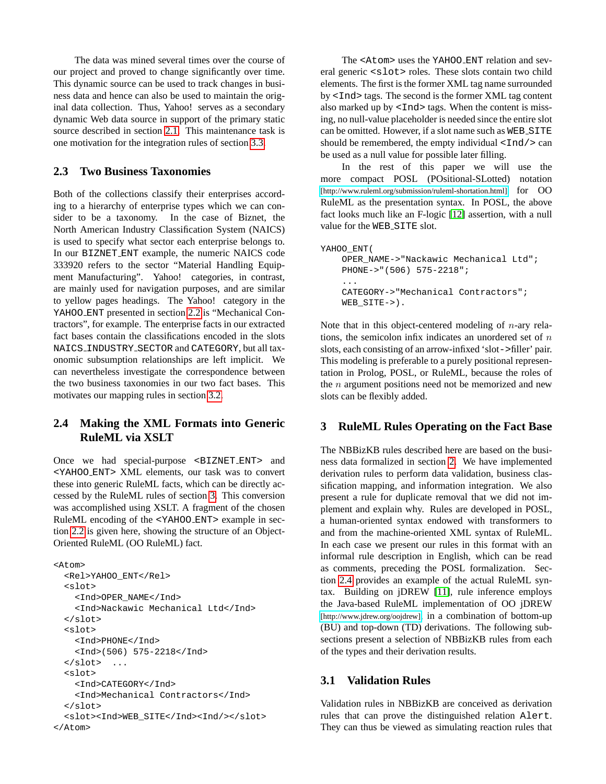The data was mined several times over the course of our project and proved to change significantly over time. This dynamic source can be used to track changes in business data and hence can also be used to maintain the original data collection. Thus, Yahoo! serves as a secondary dynamic Web data source in support of the primary static source described in section [2.1.](#page-1-1) This maintenance task is one motivation for the integration rules of section [3.3.](#page-5-0)

#### <span id="page-3-1"></span>**2.3 Two Business Taxonomies**

Both of the collections classify their enterprises according to a hierarchy of enterprise types which we can consider to be a taxonomy. In the case of Biznet, the North American Industry Classification System (NAICS) is used to specify what sector each enterprise belongs to. In our BIZNET ENT example, the numeric NAICS code 333920 refers to the sector "Material Handling Equipment Manufacturing". Yahoo! categories, in contrast, are mainly used for navigation purposes, and are similar to yellow pages headings. The Yahoo! category in the YAHOO ENT presented in section [2.2](#page-2-0) is "Mechanical Contractors", for example. The enterprise facts in our extracted fact bases contain the classifications encoded in the slots NAICS INDUSTRY SECTOR and CATEGORY, but all taxonomic subsumption relationships are left implicit. We can nevertheless investigate the correspondence between the two business taxonomies in our two fact bases. This motivates our mapping rules in section [3.2.](#page-4-0)

### <span id="page-3-2"></span>**2.4 Making the XML Formats into Generic RuleML via XSLT**

Once we had special-purpose <BIZNET ENT> and <YAHOO ENT> XML elements, our task was to convert these into generic RuleML facts, which can be directly accessed by the RuleML rules of section [3.](#page-3-0) This conversion was accomplished using XSLT. A fragment of the chosen RuleML encoding of the <YAHOO ENT> example in section [2.2](#page-2-0) is given here, showing the structure of an Object-Oriented RuleML (OO RuleML) fact.

```
<Atom><Rel>YAHOO_ENT</Rel>
  <slot>
    <Ind>OPER_NAME</Ind>
    <Ind>Nackawic Mechanical Ltd</Ind>
  </slot>
  <slot>
    <Ind>PHONE</Ind>
    <Ind>(506) 575-2218</Ind>
  \langleslot> ...
  <slot>
    <Ind>CATEGORY</Ind>
    <Ind>Mechanical Contractors</Ind>
  </slot>
  <slot><Ind>WEB_SITE</Ind><Ind/></slot>
</Atom>
```
The <Atom> uses the YAHOO ENT relation and several generic <slot> roles. These slots contain two child elements. The first is the former XML tag name surrounded by <Ind> tags. The second is the former XML tag content also marked up by  $\langle \text{Ind} \rangle$  tags. When the content is missing, no null-value placeholder is needed since the entire slot can be omitted. However, if a slot name such as WEB\_SITE should be remembered, the empty individual  $\langle \text{Ind}\rangle$  can be used as a null value for possible later filling.

In the rest of this paper we will use the more compact POSL (POsitional-SLotted) notation [\[http://www.ruleml.org/submission/ruleml-shortation.html\]](http://www.ruleml.org/submission/ruleml-shortation.html) for OO RuleML as the presentation syntax. In POSL, the above fact looks much like an F-logic [\[12\]](#page-7-2) assertion, with a null value for the WEB\_SITE slot.

```
YAHOO ENT (
   OPER_NAME->"Nackawic Mechanical Ltd";
    PHONE->"(506) 575-2218";
    ...
    CATEGORY->"Mechanical Contractors";
   WEB_SITE->).
```
Note that in this object-centered modeling of  $n$ -ary relations, the semicolon infix indicates an unordered set of  $n$ slots, each consisting of an arrow-infixed 'slot->filler' pair. This modeling is preferable to a purely positional representation in Prolog, POSL, or RuleML, because the roles of the  $n$  argument positions need not be memorized and new slots can be flexibly added.

#### <span id="page-3-0"></span>**3 RuleML Rules Operating on the Fact Base**

The NBBizKB rules described here are based on the business data formalized in section [2.](#page-1-0) We have implemented derivation rules to perform data validation, business classification mapping, and information integration. We also present a rule for duplicate removal that we did not implement and explain why. Rules are developed in POSL, a human-oriented syntax endowed with transformers to and from the machine-oriented XML syntax of RuleML. In each case we present our rules in this format with an informal rule description in English, which can be read as comments, preceding the POSL formalization. Section [2.4](#page-3-2) provides an example of the actual RuleML syntax. Building on jDREW [\[11\]](#page-7-5), rule inference employs the Java-based RuleML implementation of OO jDREW [\[http://www.jdrew.org/oojdrew\]](http://www.jdrew.org/oojdrew), in a combination of bottom-up (BU) and top-down (TD) derivations. The following subsections present a selection of NBBizKB rules from each of the types and their derivation results.

#### <span id="page-3-3"></span>**3.1 Validation Rules**

Validation rules in NBBizKB are conceived as derivation rules that can prove the distinguished relation Alert. They can thus be viewed as simulating reaction rules that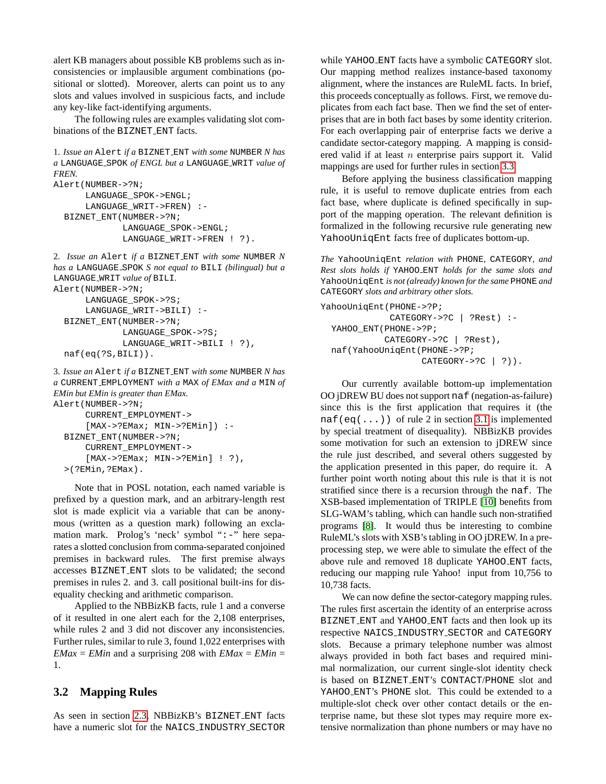alert KB managers about possible KB problems such as inconsistencies or implausible argument combinations (positional or slotted). Moreover, alerts can point us to any slots and values involved in suspicious facts, and include any key-like fact-identifying arguments.

The following rules are examples validating slot combinations of the BIZNET ENT facts.

1. *Issue an* Alert *if a* BIZNET ENT *with some* NUMBER *N has a* LANGUAGE SPOK *of ENGL but a* LANGUAGE WRIT *value of FREN.*

```
Alert(NUMBER->?N;
      LANGUAGE_SPOK->ENGL;
      LANGUAGE_WRIT->FREN) :-
  BIZNET_ENT(NUMBER->?N;
             LANGUAGE_SPOK->ENGL;
             LANGUAGE_WRIT->FREN ! ?).
```
2. *Issue an* Alert *if a* BIZNET ENT *with some* NUMBER *N has a* LANGUAGE SPOK *S not equal to* BILI *(bilingual) but a* LANGUAGE WRIT *value of* BILI*.* Alert(NUMBER->?N; LANGUAGE\_SPOK->?S; LANGUAGE\_WRIT->BILI) :- BIZNET\_ENT(NUMBER->?N; LANGUAGE\_SPOK->?S; LANGUAGE\_WRIT->BILI ! ?),

```
naf(eq(?S,BILI)).
```
3. *Issue an* Alert *if a* BIZNET ENT *with some* NUMBER *N has a* CURRENT EMPLOYMENT *with a* MAX *of EMax and a* MIN *of EMin but EMin is greater than EMax.* Alert(NUMBER->?N; CURRENT\_EMPLOYMENT->

```
[MAX->?EMax; MIN->?EMin]) :-
BIZNET_ENT(NUMBER->?N;
    CURRENT_EMPLOYMENT->
    [MAX->?EMax; MIN->?EMin] ! ?),
>(?EMin,?EMax).
```
Note that in POSL notation, each named variable is prefixed by a question mark, and an arbitrary-length rest slot is made explicit via a variable that can be anonymous (written as a question mark) following an exclamation mark. Prolog's 'neck' symbol ":-" here separates a slotted conclusion from comma-separated conjoined premises in backward rules. The first premise always accesses BIZNET ENT slots to be validated; the second premises in rules 2. and 3. call positional built-ins for disequality checking and arithmetic comparison.

Applied to the NBBizKB facts, rule 1 and a converse of it resulted in one alert each for the 2,108 enterprises, while rules 2 and 3 did not discover any inconsistencies. Further rules, similar to rule 3, found 1,022 enterprises with *EMax* = *EMin* and a surprising 208 with *EMax* = *EMin* = 1.

# <span id="page-4-0"></span>**3.2 Mapping Rules**

As seen in section [2.3,](#page-3-1) NBBizKB's BIZNET ENT facts have a numeric slot for the NAICS\_INDUSTRY\_SECTOR while YAHOO ENT facts have a symbolic CATEGORY slot. Our mapping method realizes instance-based taxonomy alignment, where the instances are RuleML facts. In brief, this proceeds conceptually as follows. First, we remove duplicates from each fact base. Then we find the set of enterprises that are in both fact bases by some identity criterion. For each overlapping pair of enterprise facts we derive a candidate sector-category mapping. A mapping is considered valid if at least  $n$  enterprise pairs support it. Valid mappings are used for further rules in section [3.3.](#page-5-0)

Before applying the business classification mapping rule, it is useful to remove duplicate entries from each fact base, where duplicate is defined specifically in support of the mapping operation. The relevant definition is formalized in the following recursive rule generating new YahooUniqEnt facts free of duplicates bottom-up.

*The* YahooUniqEnt *relation with* PHONE*,* CATEGORY*, and Rest slots holds if* YAHOO ENT *holds for the same slots and* YahooUniqEnt *is not (already) known for the same* PHONE *and* CATEGORY *slots and arbitrary other slots.*

```
YahooUniqEnt(PHONE->?P;
             CATEGORY->?C | ?Rest) :-
  YAHOO_ENT(PHONE->?P;
            CATEGORY->?C | ?Rest),
  naf(YahooUniqEnt(PHONE->?P;
                   CATEGORY->?C | ?)).
```
Our currently available bottom-up implementation OO jDREW BU does not support naf (negation-as-failure) since this is the first application that requires it (the naf(eq(...)) of rule 2 in section [3.1](#page-3-3) is implemented by special treatment of disequality). NBBizKB provides some motivation for such an extension to jDREW since the rule just described, and several others suggested by the application presented in this paper, do require it. A further point worth noting about this rule is that it is not stratified since there is a recursion through the naf. The XSB-based implementation of TRIPLE [\[10\]](#page-7-3) benefits from SLG-WAM's tabling, which can handle such non-stratified programs [\[8\]](#page-7-11). It would thus be interesting to combine RuleML's slots with XSB's tabling in OO jDREW. In a preprocessing step, we were able to simulate the effect of the above rule and removed 18 duplicate YAHOO ENT facts, reducing our mapping rule Yahoo! input from 10,756 to 10,738 facts.

We can now define the sector-category mapping rules. The rules first ascertain the identity of an enterprise across BIZNET ENT and YAHOO ENT facts and then look up its respective NAICS INDUSTRY SECTOR and CATEGORY slots. Because a primary telephone number was almost always provided in both fact bases and required minimal normalization, our current single-slot identity check is based on BIZNET ENT's CONTACT/PHONE slot and YAHOO\_ENT's PHONE slot. This could be extended to a multiple-slot check over other contact details or the enterprise name, but these slot types may require more extensive normalization than phone numbers or may have no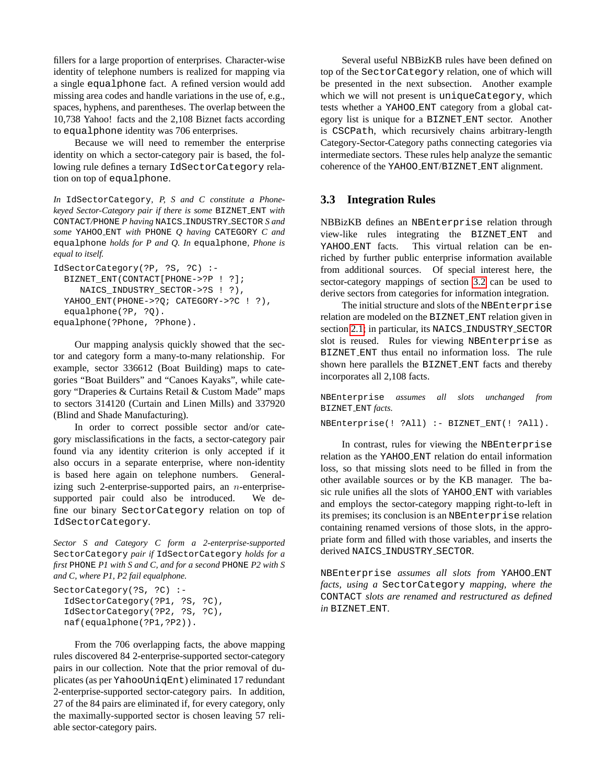fillers for a large proportion of enterprises. Character-wise identity of telephone numbers is realized for mapping via a single equalphone fact. A refined version would add missing area codes and handle variations in the use of, e.g., spaces, hyphens, and parentheses. The overlap between the 10,738 Yahoo! facts and the 2,108 Biznet facts according to equalphone identity was 706 enterprises.

Because we will need to remember the enterprise identity on which a sector-category pair is based, the following rule defines a ternary IdSectorCategory relation on top of equalphone.

*In* IdSectorCategory*, P, S and C constitute a Phonekeyed Sector-Category pair if there is some* BIZNET ENT *with* CONTACT*/*PHONE *P having* NAICS INDUSTRY SECTOR *S and some* YAHOO ENT *with* PHONE *Q having* CATEGORY *C and* equalphone *holds for P and Q. In* equalphone*, Phone is equal to itself.*

```
IdSectorCategory(?P, ?S, ?C) :-
 BIZNET_ENT(CONTACT[PHONE->?P ! ?];
    NAICS_INDUSTRY_SECTOR->?S ! ?),
 YAHOO_ENT(PHONE->?Q; CATEGORY->?C ! ?),
  equalphone(?P, ?Q).
equalphone(?Phone, ?Phone).
```
Our mapping analysis quickly showed that the sector and category form a many-to-many relationship. For example, sector 336612 (Boat Building) maps to categories "Boat Builders" and "Canoes Kayaks", while category "Draperies & Curtains Retail & Custom Made" maps to sectors 314120 (Curtain and Linen Mills) and 337920 (Blind and Shade Manufacturing).

In order to correct possible sector and/or category misclassifications in the facts, a sector-category pair found via any identity criterion is only accepted if it also occurs in a separate enterprise, where non-identity is based here again on telephone numbers. Generalizing such 2-enterprise-supported pairs, an  $n$ -enterprisesupported pair could also be introduced. We define our binary SectorCategory relation on top of IdSectorCategory.

*Sector S and Category C form a 2-enterprise-supported* SectorCategory *pair if* IdSectorCategory *holds for a first* PHONE *P1 with S and C, and for a second* PHONE *P2 with S and C, where P1, P2 fail equalphone.*

```
SectorCategory(?S, ?C) :-
  IdSectorCategory(?P1, ?S, ?C),
  IdSectorCategory(?P2, ?S, ?C),
  naf(equalphone(?P1,?P2)).
```
From the 706 overlapping facts, the above mapping rules discovered 84 2-enterprise-supported sector-category pairs in our collection. Note that the prior removal of duplicates (as per YahooUniqEnt) eliminated 17 redundant 2-enterprise-supported sector-category pairs. In addition, 27 of the 84 pairs are eliminated if, for every category, only the maximally-supported sector is chosen leaving 57 reliable sector-category pairs.

Several useful NBBizKB rules have been defined on top of the SectorCategory relation, one of which will be presented in the next subsection. Another example which we will not present is uniqueCategory, which tests whether a YAHOO ENT category from a global category list is unique for a BIZNET ENT sector. Another is CSCPath, which recursively chains arbitrary-length Category-Sector-Category paths connecting categories via intermediate sectors. These rules help analyze the semantic coherence of the YAHOO ENT/BIZNET ENT alignment.

#### <span id="page-5-0"></span>**3.3 Integration Rules**

NBBizKB defines an NBEnterprise relation through view-like rules integrating the BIZNET ENT and YAHOO ENT facts. This virtual relation can be enriched by further public enterprise information available from additional sources. Of special interest here, the sector-category mappings of section [3.2](#page-4-0) can be used to derive sectors from categories for information integration.

The initial structure and slots of the NBEnterprise relation are modeled on the BIZNET ENT relation given in section [2.1;](#page-1-1) in particular, its NAICS\_INDUSTRY\_SECTOR slot is reused. Rules for viewing NBEnterprise as BIZNET ENT thus entail no information loss. The rule shown here parallels the BIZNET ENT facts and thereby incorporates all 2,108 facts.

NBEnterprise *assumes all slots unchanged from* BIZNET ENT *facts.*

NBEnterprise(! ?All) :- BIZNET\_ENT(! ?All).

In contrast, rules for viewing the NBEnterprise relation as the YAHOO ENT relation do entail information loss, so that missing slots need to be filled in from the other available sources or by the KB manager. The basic rule unifies all the slots of YAHOO ENT with variables and employs the sector-category mapping right-to-left in its premises; its conclusion is an NBEnterprise relation containing renamed versions of those slots, in the appropriate form and filled with those variables, and inserts the derived NAICS\_INDUSTRY\_SECTOR.

NBEnterprise *assumes all slots from* YAHOO ENT *facts, using a* SectorCategory *mapping, where the* CONTACT *slots are renamed and restructured as defined in* BIZNET ENT*.*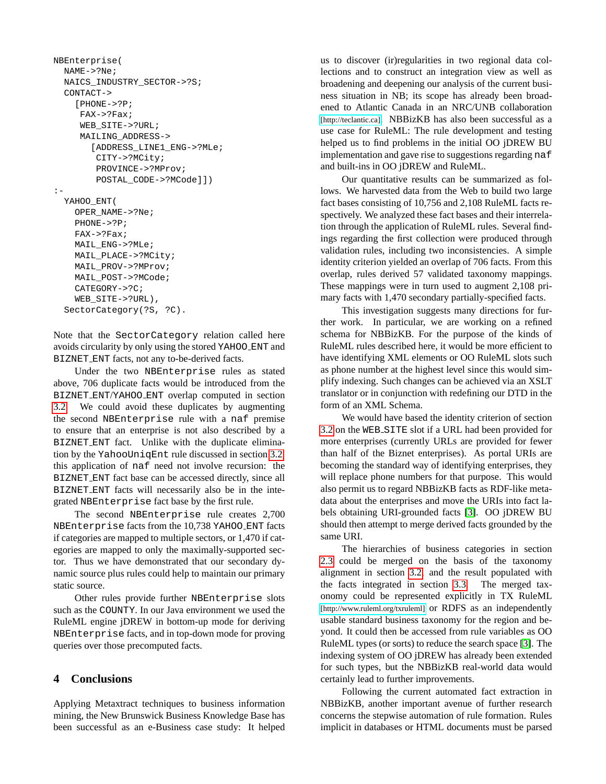```
NBEnterprise(
 NAME->?Ne;
 NAICS_INDUSTRY_SECTOR->?S;
  CONTACT->
    [PHONE->?P;
     FAX->?Fax;
     WEB_SITE->?URL;
     MAILING_ADDRESS->
       [ADDRESS_LINE1_ENG->?MLe;
        CITY->?MCity;
        PROVINCE->?MProv;
        POSTAL_CODE->?MCode]])
:-
  YAHOO_ENT(
    OPER_NAME->?Ne;
    PHONE->?P;
    FAX->?Fax;
    MAIL_ENG->?MLe;
    MAIL_PLACE->?MCity;
   MAIL_PROV->?MProv;
    MAIL_POST->?MCode;
    CATEGORY->?C;
    WEB_SITE->?URL),
  SectorCategory(?S, ?C).
```
Note that the SectorCategory relation called here avoids circularity by only using the stored YAHOO ENT and BIZNET ENT facts, not any to-be-derived facts.

Under the two NBEnterprise rules as stated above, 706 duplicate facts would be introduced from the BIZNET ENT/YAHOO ENT overlap computed in section [3.2.](#page-4-0) We could avoid these duplicates by augmenting the second NBEnterprise rule with a naf premise to ensure that an enterprise is not also described by a BIZNET ENT fact. Unlike with the duplicate elimination by the YahooUniqEnt rule discussed in section [3.2,](#page-4-0) this application of naf need not involve recursion: the BIZNET ENT fact base can be accessed directly, since all BIZNET ENT facts will necessarily also be in the integrated NBEnterprise fact base by the first rule.

The second NBEnterprise rule creates 2,700 NBEnterprise facts from the 10,738 YAHOO ENT facts if categories are mapped to multiple sectors, or 1,470 if categories are mapped to only the maximally-supported sector. Thus we have demonstrated that our secondary dynamic source plus rules could help to maintain our primary static source.

Other rules provide further NBEnterprise slots such as the COUNTY. In our Java environment we used the RuleML engine jDREW in bottom-up mode for deriving NBEnterprise facts, and in top-down mode for proving queries over those precomputed facts.

#### <span id="page-6-0"></span>**4 Conclusions**

Applying Metaxtract techniques to business information mining, the New Brunswick Business Knowledge Base has been successful as an e-Business case study: It helped

us to discover (ir)regularities in two regional data collections and to construct an integration view as well as broadening and deepening our analysis of the current business situation in NB; its scope has already been broadened to Atlantic Canada in an NRC/UNB collaboration [\[http://teclantic.ca\]](http://teclantic.ca). NBBizKB has also been successful as a use case for RuleML: The rule development and testing helped us to find problems in the initial OO jDREW BU implementation and gave rise to suggestions regarding naf and built-ins in OO jDREW and RuleML.

Our quantitative results can be summarized as follows. We harvested data from the Web to build two large fact bases consisting of 10,756 and 2,108 RuleML facts respectively. We analyzed these fact bases and their interrelation through the application of RuleML rules. Several findings regarding the first collection were produced through validation rules, including two inconsistencies. A simple identity criterion yielded an overlap of 706 facts. From this overlap, rules derived 57 validated taxonomy mappings. These mappings were in turn used to augment 2,108 primary facts with 1,470 secondary partially-specified facts.

This investigation suggests many directions for further work. In particular, we are working on a refined schema for NBBizKB. For the purpose of the kinds of RuleML rules described here, it would be more efficient to have identifying XML elements or OO RuleML slots such as phone number at the highest level since this would simplify indexing. Such changes can be achieved via an XSLT translator or in conjunction with redefining our DTD in the form of an XML Schema.

We would have based the identity criterion of section [3.2](#page-4-0) on the WEB SITE slot if a URL had been provided for more enterprises (currently URLs are provided for fewer than half of the Biznet enterprises). As portal URIs are becoming the standard way of identifying enterprises, they will replace phone numbers for that purpose. This would also permit us to regard NBBizKB facts as RDF-like metadata about the enterprises and move the URIs into fact labels obtaining URI-grounded facts [\[3\]](#page-7-1). OO jDREW BU should then attempt to merge derived facts grounded by the same URI.

The hierarchies of business categories in section [2.3](#page-3-1) could be merged on the basis of the taxonomy alignment in section [3.2,](#page-4-0) and the result populated with the facts integrated in section [3.3.](#page-5-0) The merged taxonomy could be represented explicitly in TX RuleML [\[http://www.ruleml.org/txruleml\]](http://www.ruleml.org/txruleml) or RDFS as an independently usable standard business taxonomy for the region and beyond. It could then be accessed from rule variables as OO RuleML types (or sorts) to reduce the search space [\[3\]](#page-7-1). The indexing system of OO jDREW has already been extended for such types, but the NBBizKB real-world data would certainly lead to further improvements.

Following the current automated fact extraction in NBBizKB, another important avenue of further research concerns the stepwise automation of rule formation. Rules implicit in databases or HTML documents must be parsed